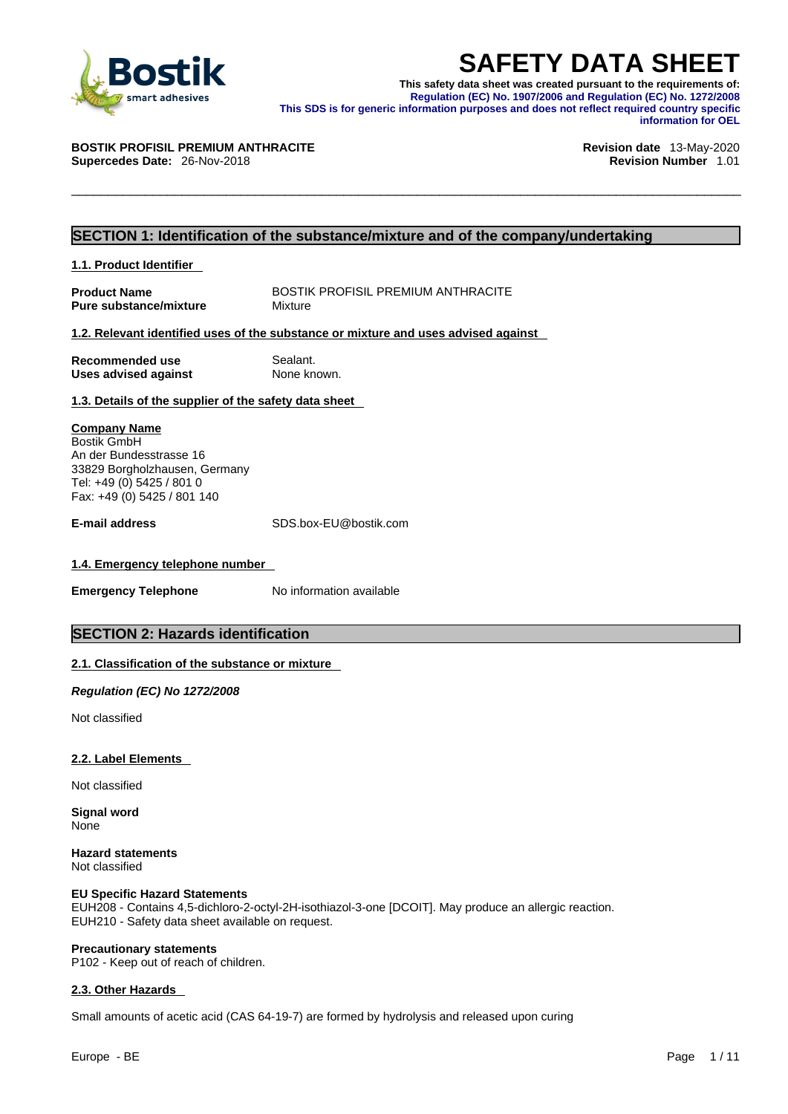

**SAFETY DATA SHEET**<br>
This safety data sheet was created pursuant to the requirements of:<br>
Regulation (EC) No. 1907/2006 and Regulation (EC) No. 1272/2008<br>
This SDS is for generic information purposes and does not reflect r **This safety data sheet was created pursuant to the requirements of: Regulation (EC) No. 1907/2006 and Regulation (EC) No. 1272/2008 This SDS is for generic information purposes and does not reflect required country specific information for OEL** 

#### **BOSTIK PROFISIL PREMIUM ANTHRACITE Revision date** 13-May-2020

**Supercedes Date:** 26-Nov-2018 **Revision Number** 1.01

#### **SECTION 1: Identification of the substance/mixture and of the company/undertaking**

#### **1.1. Product Identifier**

**Product Name** BOSTIK PROFISIL PREMIUM ANTHRACITE<br> **Pure substance/mixture** Mixture Mixture **Pure substance/mixture** 

#### **1.2. Relevant identified uses of the substance or mixture and uses advised against**

| Recommended use             | Sealant.    |
|-----------------------------|-------------|
| <b>Uses advised against</b> | None known. |

## **1.3. Details of the supplier of the safety data sheet**

#### **Company Name** Bostik GmbH

An der Bundesstrasse 16 33829 Borgholzhausen, Germany Tel: +49 (0) 5425 / 801 0 Fax: +49 (0) 5425 / 801 140

**E-mail address** SDS.box-EU@bostik.com

#### **1.4. Emergency telephone number**

**Emergency Telephone** No information available

#### **SECTION 2: Hazards identification**

#### **2.1. Classification of the substance or mixture**

*Regulation (EC) No 1272/2008* 

Not classified

#### **2.2. Label Elements**

Not classified

**Signal word** None

**Hazard statements** Not classified

#### **EU Specific Hazard Statements**

EUH208 - Contains 4,5-dichloro-2-octyl-2H-isothiazol-3-one [DCOIT]. May produce an allergic reaction. EUH210 - Safety data sheet available on request.

#### **Precautionary statements**

P102 - Keep out of reach of children.

#### **2.3. Other Hazards**

Small amounts of acetic acid (CAS 64-19-7) are formed by hydrolysis and released upon curing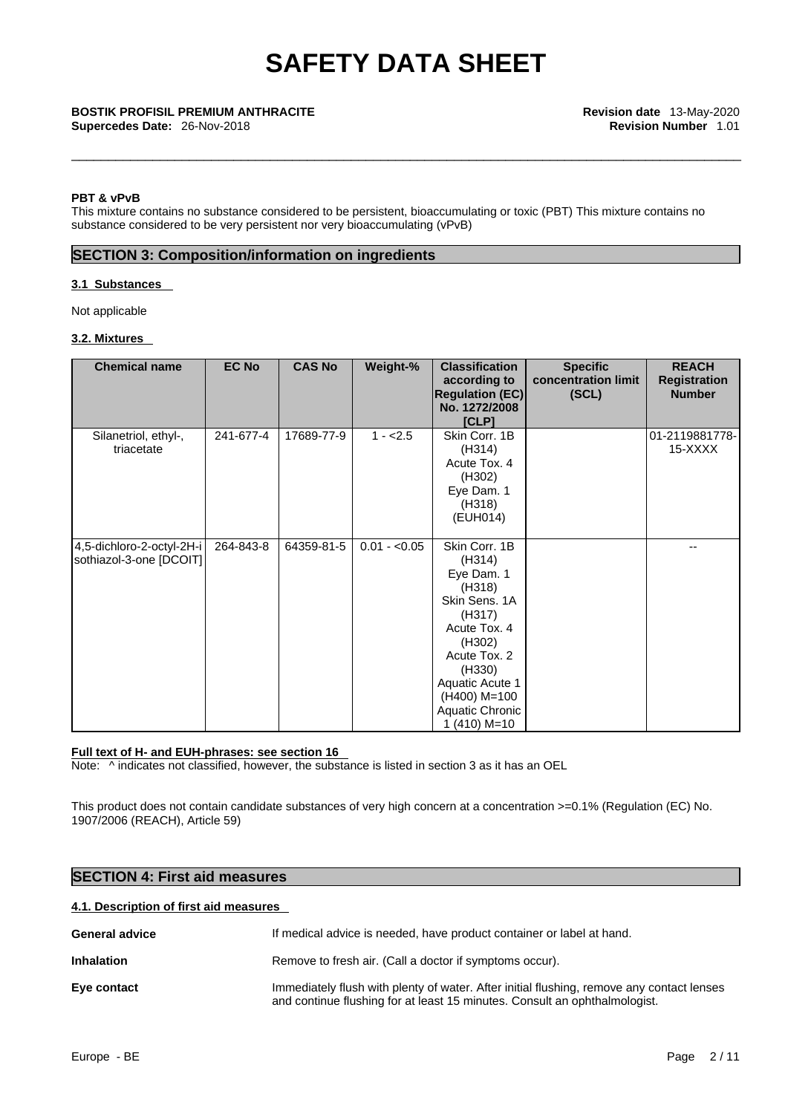#### **PBT & vPvB**

This mixture contains no substance considered to be persistent, bioaccumulating or toxic (PBT) This mixture contains no substance considered to be very persistent nor very bioaccumulating (vPvB)

#### **SECTION 3: Composition/information on ingredients**

#### **3.1 Substances**

Not applicable

#### **3.2. Mixtures**

| <b>Chemical name</b>                                 | <b>EC No</b> | <b>CAS No</b> | Weight-%      | <b>Classification</b><br>according to<br><b>Regulation (EC)</b><br>No. 1272/2008<br>[CLP]                                                                                                             | <b>Specific</b><br>concentration limit<br>(SCL) | <b>REACH</b><br><b>Registration</b><br><b>Number</b> |
|------------------------------------------------------|--------------|---------------|---------------|-------------------------------------------------------------------------------------------------------------------------------------------------------------------------------------------------------|-------------------------------------------------|------------------------------------------------------|
| Silanetriol, ethyl-,<br>triacetate                   | 241-677-4    | 17689-77-9    | $1 - 2.5$     | Skin Corr. 1B<br>(H314)<br>Acute Tox. 4<br>(H302)<br>Eye Dam. 1<br>(H318)<br>(EUH014)                                                                                                                 |                                                 | 01-2119881778-<br>15-XXXX                            |
| 4,5-dichloro-2-octyl-2H-i<br>sothiazol-3-one [DCOIT] | 264-843-8    | 64359-81-5    | $0.01 - 0.05$ | Skin Corr. 1B<br>(H314)<br>Eye Dam. 1<br>(H318)<br>Skin Sens. 1A<br>(H317)<br>Acute Tox. 4<br>(H302)<br>Acute Tox. 2<br>(H330)<br>Aquatic Acute 1<br>(H400) M=100<br>Aquatic Chronic<br>$1(410) M=10$ |                                                 | --                                                   |

#### **Full text of H- and EUH-phrases: see section 16**

Note: ^ indicates not classified, however, the substance is listed in section 3 as it has an OEL

This product does not contain candidate substances of very high concern at a concentration >=0.1% (Regulation (EC) No. 1907/2006 (REACH), Article 59)

#### **SECTION 4: First aid measures**

### **4.1. Description of first aid measures**

| <b>General advice</b> | If medical advice is needed, have product container or label at hand.                                                                                                   |
|-----------------------|-------------------------------------------------------------------------------------------------------------------------------------------------------------------------|
| <b>Inhalation</b>     | Remove to fresh air. (Call a doctor if symptoms occur).                                                                                                                 |
| Eye contact           | Immediately flush with plenty of water. After initial flushing, remove any contact lenses<br>and continue flushing for at least 15 minutes. Consult an ophthalmologist. |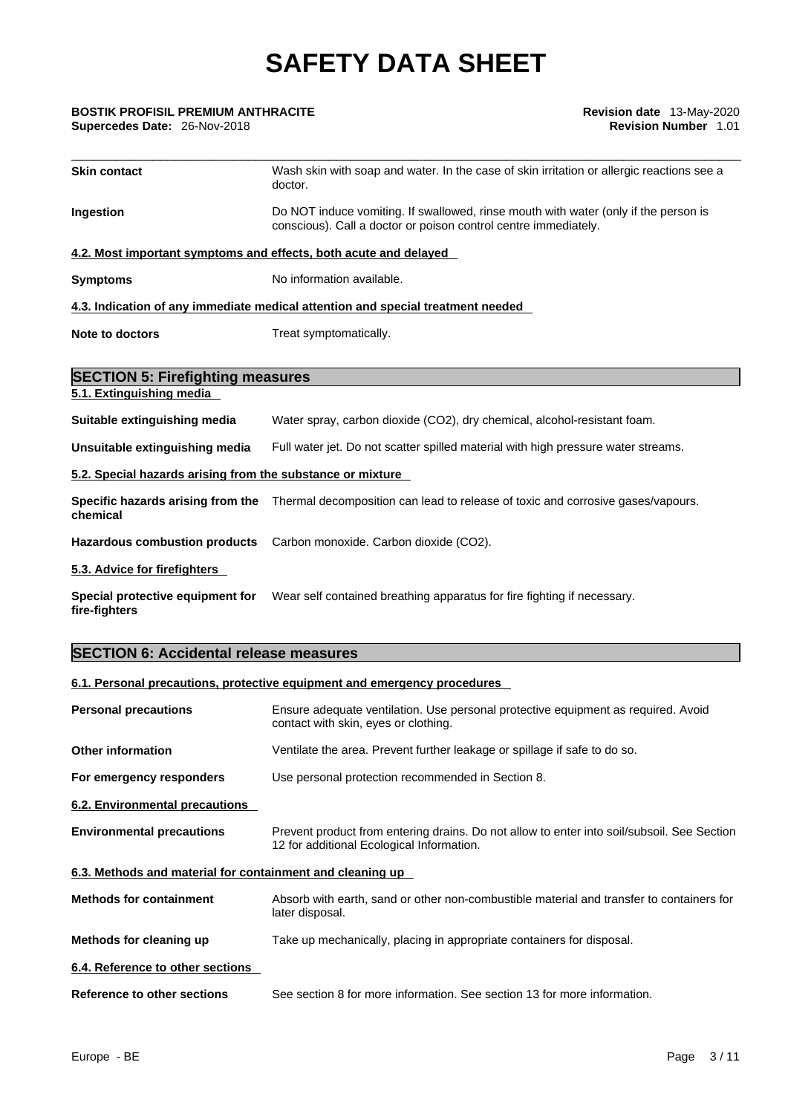#### \_\_\_\_\_\_\_\_\_\_\_\_\_\_\_\_\_\_\_\_\_\_\_\_\_\_\_\_\_\_\_\_\_\_\_\_\_\_\_\_\_\_\_\_\_\_\_\_\_\_\_\_\_\_\_\_\_\_\_\_\_\_\_\_\_\_\_\_\_\_\_\_\_\_\_\_\_\_\_\_\_\_\_\_\_\_\_\_\_\_\_ **BOSTIK PROFISIL PREMIUM ANTHRACITE Revision date** 13-May-2020 **Supercedes Date: 26-Nov-2018**

| <b>Skin contact</b>                                              | Wash skin with soap and water. In the case of skin irritation or allergic reactions see a<br>doctor.                                                   |
|------------------------------------------------------------------|--------------------------------------------------------------------------------------------------------------------------------------------------------|
| Ingestion                                                        | Do NOT induce vomiting. If swallowed, rinse mouth with water (only if the person is<br>conscious). Call a doctor or poison control centre immediately. |
| 4.2. Most important symptoms and effects, both acute and delayed |                                                                                                                                                        |
| <b>Symptoms</b>                                                  | No information available.                                                                                                                              |
|                                                                  | 4.3. Indication of any immediate medical attention and special treatment needed                                                                        |
| <b>Note to doctors</b>                                           | Treat symptomatically.                                                                                                                                 |
|                                                                  |                                                                                                                                                        |
| <b>SECTION 5: Firefighting measures</b>                          |                                                                                                                                                        |
| 5.1. Extinguishing media                                         |                                                                                                                                                        |
| Suitable extinguishing media                                     | Water spray, carbon dioxide (CO2), dry chemical, alcohol-resistant foam.                                                                               |
| Unsuitable extinguishing media                                   | Full water jet. Do not scatter spilled material with high pressure water streams.                                                                      |
| 5.2. Special hazards arising from the substance or mixture       |                                                                                                                                                        |
| chemical                                                         | Specific hazards arising from the Thermal decomposition can lead to release of toxic and corrosive gases/vapours.                                      |
| <b>Hazardous combustion products</b>                             | Carbon monoxide. Carbon dioxide (CO2).                                                                                                                 |
| 5.3. Advice for firefighters                                     |                                                                                                                                                        |
| Special protective equipment for<br>fire-fighters                | Wear self contained breathing apparatus for fire fighting if necessary.                                                                                |
|                                                                  |                                                                                                                                                        |

## **SECTION 6: Accidental release measures**

## **6.1. Personal precautions, protective equipment and emergency procedures**

| <b>Personal precautions</b>                               | Ensure adequate ventilation. Use personal protective equipment as required. Avoid<br>contact with skin, eyes or clothing.               |
|-----------------------------------------------------------|-----------------------------------------------------------------------------------------------------------------------------------------|
| <b>Other information</b>                                  | Ventilate the area. Prevent further leakage or spillage if safe to do so.                                                               |
| For emergency responders                                  | Use personal protection recommended in Section 8.                                                                                       |
| 6.2. Environmental precautions                            |                                                                                                                                         |
| <b>Environmental precautions</b>                          | Prevent product from entering drains. Do not allow to enter into soil/subsoil. See Section<br>12 for additional Ecological Information. |
| 6.3. Methods and material for containment and cleaning up |                                                                                                                                         |
| <b>Methods for containment</b>                            | Absorb with earth, sand or other non-combustible material and transfer to containers for<br>later disposal.                             |
| Methods for cleaning up                                   | Take up mechanically, placing in appropriate containers for disposal.                                                                   |
| 6.4. Reference to other sections                          |                                                                                                                                         |
| Reference to other sections                               | See section 8 for more information. See section 13 for more information.                                                                |
|                                                           |                                                                                                                                         |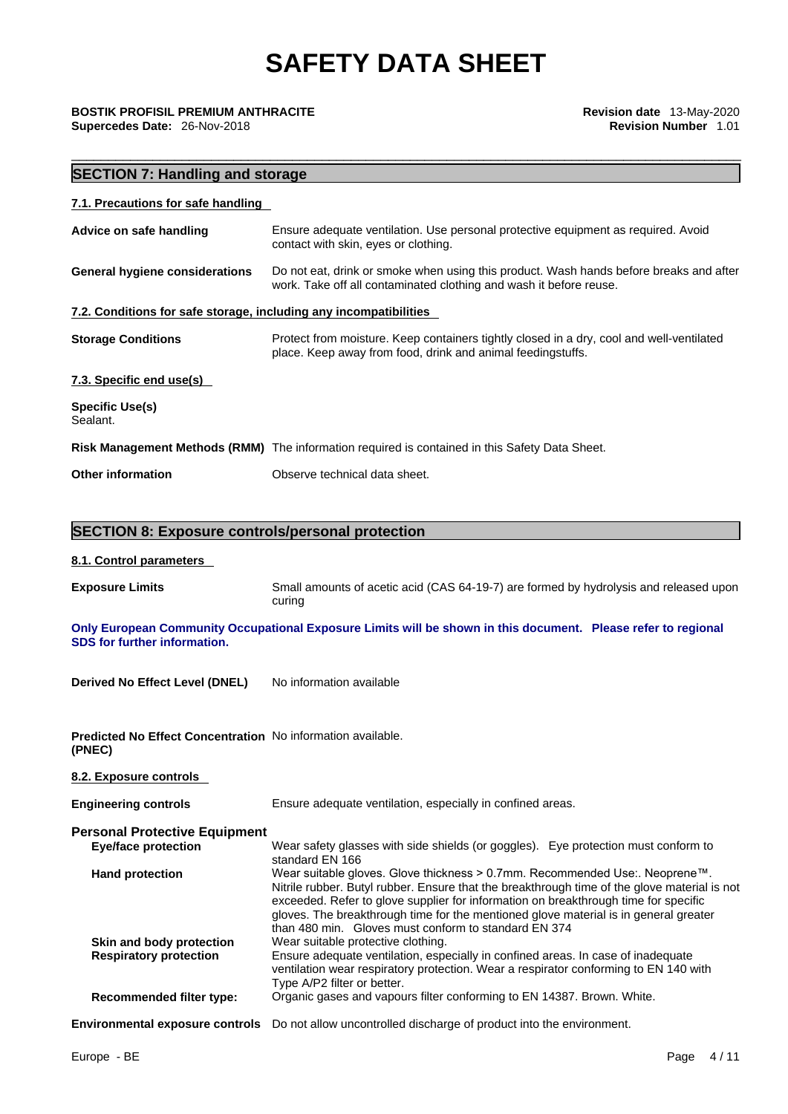\_\_\_\_\_\_\_\_\_\_\_\_\_\_\_\_\_\_\_\_\_\_\_\_\_\_\_\_\_\_\_\_\_\_\_\_\_\_\_\_\_\_\_\_\_\_\_\_\_\_\_\_\_\_\_\_\_\_\_\_\_\_\_\_\_\_\_\_\_\_\_\_\_\_\_\_\_\_\_\_\_\_\_\_\_\_\_\_\_\_\_ **BOSTIK PROFISIL PREMIUM ANTHRACITE Revision date** 13-May-2020

**Supercedes Date:** 26-Nov-2018 **Revision Number** 1.01

### **SECTION 7: Handling and storage**

| 7.1. Precautions for safe handling                                |                                                                                                                                                              |
|-------------------------------------------------------------------|--------------------------------------------------------------------------------------------------------------------------------------------------------------|
| Advice on safe handling                                           | Ensure adequate ventilation. Use personal protective equipment as required. Avoid<br>contact with skin, eyes or clothing.                                    |
| <b>General hygiene considerations</b>                             | Do not eat, drink or smoke when using this product. Wash hands before breaks and after<br>work. Take off all contaminated clothing and wash it before reuse. |
| 7.2. Conditions for safe storage, including any incompatibilities |                                                                                                                                                              |
| <b>Storage Conditions</b>                                         | Protect from moisture. Keep containers tightly closed in a dry, cool and well-ventilated<br>place. Keep away from food, drink and animal feedingstuffs.      |
| 7.3. Specific end use(s)                                          |                                                                                                                                                              |
| <b>Specific Use(s)</b><br>Sealant.                                |                                                                                                                                                              |
|                                                                   | Risk Management Methods (RMM) The information required is contained in this Safety Data Sheet.                                                               |
| <b>Other information</b>                                          | Observe technical data sheet.                                                                                                                                |
|                                                                   |                                                                                                                                                              |

## **SECTION 8: Exposure controls/personal protection**

#### **8.1. Control parameters**

**Exposure Limits** Small amounts of acetic acid (CAS 64-19-7) are formed by hydrolysis and released upon curing

**Only European Community Occupational Exposure Limits will be shown in this document. Please refer to regional SDS for further information.** 

**Derived No Effect Level (DNEL)** No information available

**Predicted No Effect Concentration** No information available. **(PNEC)** 

## **8.2. Exposure controls Engineering controls** Ensure adequate ventilation, especially in confined areas. **Personal Protective Equipment Eye/face protection** Wear safety glasses with side shields (or goggles). Eye protection must conform to standard EN 166 **Hand protection** Wear suitable gloves. Glove thickness > 0.7mm. Recommended Use:. Neoprene™. Nitrile rubber. Butyl rubber. Ensure that the breakthrough time of the glove material is not exceeded. Refer to glove supplier for information on breakthrough time for specific gloves. The breakthrough time for the mentioned glove material is in general greater than 480 min. Gloves must conform to standard EN 374 **Skin and body protection** Wear suitable protective clothing. **Respiratory protection** Ensure adequate ventilation, especially in confined areas. In case of inadequate ventilation wear respiratory protection. Wear a respirator conforming to EN 140 with Type A/P2 filter or better. **Recommended filter type:** Organic gases and vapours filter conforming to EN 14387. Brown. White.

**Environmental exposure controls** Do not allow uncontrolled discharge of product into the environment.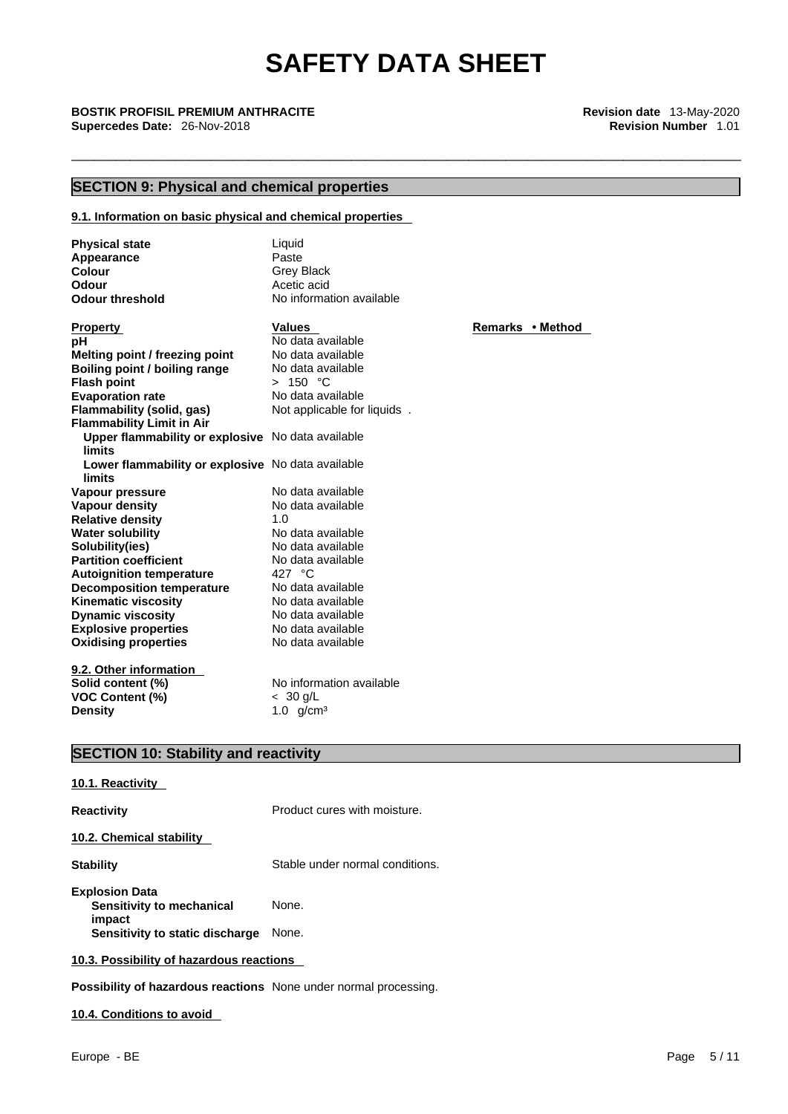\_\_\_\_\_\_\_\_\_\_\_\_\_\_\_\_\_\_\_\_\_\_\_\_\_\_\_\_\_\_\_\_\_\_\_\_\_\_\_\_\_\_\_\_\_\_\_\_\_\_\_\_\_\_\_\_\_\_\_\_\_\_\_\_\_\_\_\_\_\_\_\_\_\_\_\_\_\_\_\_\_\_\_\_\_\_\_\_\_\_\_ **BOSTIK PROFISIL PREMIUM ANTHRACITE Revision date** 13-May-2020 **Supercedes Date:** 26-Nov-2018 **Revision Number** 1.01

## **SECTION 9: Physical and chemical properties**

#### **9.1. Information on basic physical and chemical properties**

| <b>Physical state</b><br>Appearance<br>Colour<br>Odour<br><b>Odour threshold</b> | Liquid<br>Paste<br><b>Grey Black</b><br>Acetic acid<br>No information available |                  |
|----------------------------------------------------------------------------------|---------------------------------------------------------------------------------|------------------|
| <b>Property</b>                                                                  | <b>Values</b>                                                                   | Remarks • Method |
| рH                                                                               | No data available                                                               |                  |
| Melting point / freezing point                                                   | No data available                                                               |                  |
| Boiling point / boiling range                                                    | No data available                                                               |                  |
| <b>Flash point</b>                                                               | > 150 °C                                                                        |                  |
| <b>Evaporation rate</b>                                                          | No data available                                                               |                  |
| <b>Flammability (solid, gas)</b>                                                 | Not applicable for liquids.                                                     |                  |
| <b>Flammability Limit in Air</b>                                                 |                                                                                 |                  |
| Upper flammability or explosive No data available                                |                                                                                 |                  |
| <b>limits</b>                                                                    |                                                                                 |                  |
| Lower flammability or explosive No data available                                |                                                                                 |                  |
| limits                                                                           |                                                                                 |                  |
| Vapour pressure                                                                  | No data available                                                               |                  |
| <b>Vapour density</b>                                                            | No data available                                                               |                  |
| <b>Relative density</b>                                                          | 1.0                                                                             |                  |
| <b>Water solubility</b>                                                          | No data available                                                               |                  |
| Solubility(ies)                                                                  | No data available                                                               |                  |
| <b>Partition coefficient</b>                                                     | No data available                                                               |                  |
| <b>Autoignition temperature</b>                                                  | 427 °C                                                                          |                  |
| <b>Decomposition temperature</b>                                                 | No data available                                                               |                  |
| <b>Kinematic viscosity</b>                                                       | No data available                                                               |                  |
| <b>Dynamic viscosity</b>                                                         | No data available                                                               |                  |
| <b>Explosive properties</b>                                                      | No data available                                                               |                  |
| <b>Oxidising properties</b>                                                      | No data available                                                               |                  |
| 9.2. Other information                                                           |                                                                                 |                  |
| Solid content (%)                                                                | No information available                                                        |                  |
| <b>VOC Content (%)</b>                                                           | $< 30$ g/L                                                                      |                  |
| <b>Density</b>                                                                   | 1.0 $g/cm^{3}$                                                                  |                  |

## **SECTION 10: Stability and reactivity**

| 10.1. Reactivity                         |                                 |
|------------------------------------------|---------------------------------|
| Reactivity                               | Product cures with moisture.    |
| 10.2. Chemical stability                 |                                 |
| Stabilitv                                | Stable under normal conditions. |
| <b>Explosion Data</b>                    |                                 |
| Sensitivity to mechanical<br>impact      | None.                           |
| Sensitivity to static discharge          | None.                           |
| 10.3. Possibility of hazardous reactions |                                 |

**Possibility of hazardous reactions** None under normal processing.

#### **10.4. Conditions to avoid**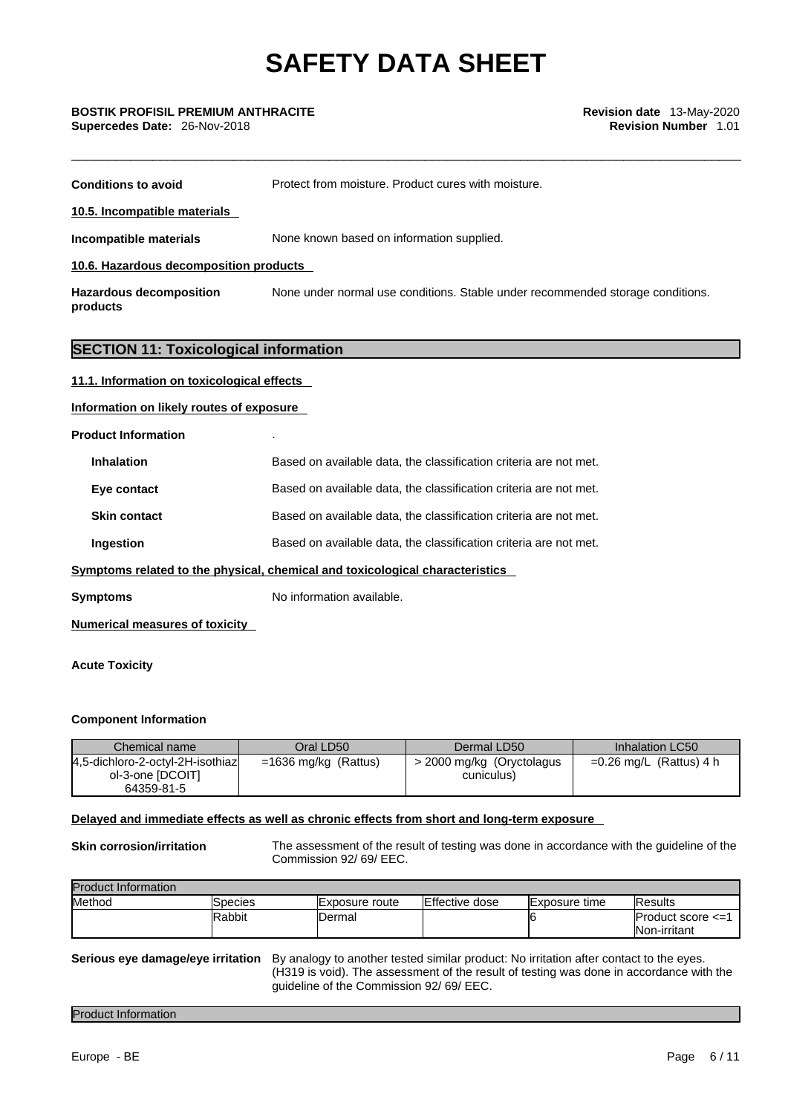| <b>Conditions to avoid</b>                   | Protect from moisture. Product cures with moisture.                                                                      |
|----------------------------------------------|--------------------------------------------------------------------------------------------------------------------------|
| 10.5. Incompatible materials                 |                                                                                                                          |
| Incompatible materials                       | None known based on information supplied.                                                                                |
| 10.6. Hazardous decomposition products       |                                                                                                                          |
| <b>Hazardous decomposition</b><br>products   | None under normal use conditions. Stable under recommended storage conditions.                                           |
| <b>SECTION 11: Toxicological information</b> |                                                                                                                          |
| 11.1. Information on toxicological effects   |                                                                                                                          |
| Information on likely routes of exposure     |                                                                                                                          |
| <b>Product Information</b>                   |                                                                                                                          |
| <b>Inhalation</b>                            | Based on available data, the classification criteria are not met.                                                        |
| Eye contact                                  | Based on available data, the classification criteria are not met.                                                        |
| <b>Skin contact</b>                          | Based on available data, the classification criteria are not met.                                                        |
| Ingestion                                    | Based on available data, the classification criteria are not met.                                                        |
|                                              | $\sim$ . The contract of the contract of the contract of the contract of the function of the contract of the contract of |

#### **Symptoms related to the physical, chemical and toxicological characteristics**

**Symptoms** No information available.

#### **Numerical measures of toxicity**

#### **Acute Toxicity**

#### **Component Information**

| Chemical name                    | Oral LD50              | Dermal LD50               | Inhalation LC50           |
|----------------------------------|------------------------|---------------------------|---------------------------|
| 4,5-dichloro-2-octyl-2H-isothiaz | $=1636$ mg/kg (Rattus) | > 2000 mg/kg (Oryctolagus | $=0.26$ mg/L (Rattus) 4 h |
| ol-3-one [DCOIT]                 |                        | cuniculus)                |                           |
| 64359-81-5                       |                        |                           |                           |

#### **Delayed and immediate effects as well as chronic effects from short and long-term exposure**

**Skin corrosion/irritation** The assessment of the result of testing was done in accordance with the guideline of the Commission 92/ 69/ EEC.

| <b>Product Information</b> |         |                        |                       |                |                     |
|----------------------------|---------|------------------------|-----------------------|----------------|---------------------|
| Method                     | Species | <b>IExposure route</b> | <b>Effective dose</b> | IExposure time | <b>IResults</b>     |
|                            | Rabbit  | Dermal                 |                       |                | lProduct score <=1  |
|                            |         |                        |                       |                | <b>Non-irritant</b> |

#### **Serious eye damage/eye irritation** By analogy to another tested similar product: No irritation after contact to the eyes. (H319 is void). The assessment of the result of testing was done in accordance with the guideline of the Commission 92/ 69/ EEC.

#### Product Information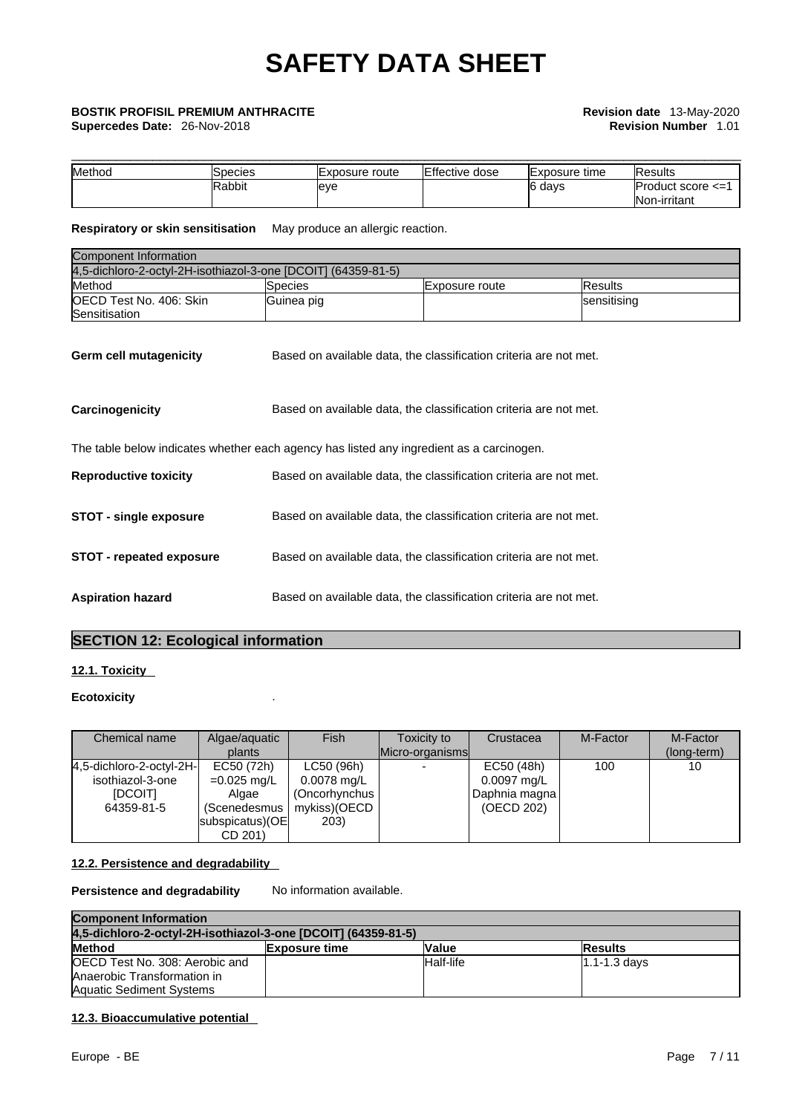**Supercedes Date:** 26-Nov-2018 **Revision Number** 1.01

# \_\_\_\_\_\_\_\_\_\_\_\_\_\_\_\_\_\_\_\_\_\_\_\_\_\_\_\_\_\_\_\_\_\_\_\_\_\_\_\_\_\_\_\_\_\_\_\_\_\_\_\_\_\_\_\_\_\_\_\_\_\_\_\_\_\_\_\_\_\_\_\_\_\_\_\_\_\_\_\_\_\_\_\_\_\_\_\_\_\_\_ **BOSTIK PROFISIL PREMIUM ANTHRACITE Revision date** 13-May-2020

| Method | Species       | Exposure route | Effective dose | lExposure time | <b>Results</b>                                   |
|--------|---------------|----------------|----------------|----------------|--------------------------------------------------|
|        | <b>Rabbit</b> | leve           |                | 3 davs<br>∼י   | $Product score < = 1$<br><b>Non</b><br>-irritant |

**Respiratory or skin sensitisation** May produce an allergic reaction.

| Component Information                                         |            |                |                |  |
|---------------------------------------------------------------|------------|----------------|----------------|--|
| 4,5-dichloro-2-octyl-2H-isothiazol-3-one [DCOIT] (64359-81-5) |            |                |                |  |
| Method                                                        | Species    | Exposure route | <b>Results</b> |  |
| OECD Test No. 406: Skin<br>Sensitisation                      | Guinea pig |                | sensitising    |  |

| Germ cell mutagenicity          | Based on available data, the classification criteria are not met.                        |
|---------------------------------|------------------------------------------------------------------------------------------|
| Carcinogenicity                 | Based on available data, the classification criteria are not met.                        |
|                                 | The table below indicates whether each agency has listed any ingredient as a carcinogen. |
| <b>Reproductive toxicity</b>    | Based on available data, the classification criteria are not met.                        |
| <b>STOT - single exposure</b>   | Based on available data, the classification criteria are not met.                        |
| <b>STOT - repeated exposure</b> | Based on available data, the classification criteria are not met.                        |
| <b>Aspiration hazard</b>        | Based on available data, the classification criteria are not met.                        |

#### **SECTION 12: Ecological information**

#### **12.1. Toxicity**

#### **Ecotoxicity** .

| Chemical name            | Algae/aquatic<br>plants   | Fish          | Toxicity to<br>Micro-organisms | Crustacea     | M-Factor | M-Factor<br>(long-term) |
|--------------------------|---------------------------|---------------|--------------------------------|---------------|----------|-------------------------|
| 4,5-dichloro-2-octyl-2H- | EC50 (72h)                | LC50 (96h)    |                                | EC50 (48h)    | 100      | 10                      |
| isothiazol-3-one         | $=0.025$ mg/L             | $0.0078$ mg/L |                                | $0.0097$ mg/L |          |                         |
| <b>IDCOITI</b>           | Algae                     | (Oncorhynchus |                                | Daphnia magna |          |                         |
| 64359-81-5               | (Scenedesmus <sup>1</sup> | mykiss)(OECD  |                                | (OECD 202)    |          |                         |
|                          | subspicatus) (OE          | 203)          |                                |               |          |                         |
|                          | CD 201)                   |               |                                |               |          |                         |

#### **12.2. Persistence and degradability**

**Persistence and degradability** No information available.

| <b>Component Information</b>                                  |                      |           |                  |  |
|---------------------------------------------------------------|----------------------|-----------|------------------|--|
| 4.5-dichloro-2-octyl-2H-isothiazol-3-one IDCOITI (64359-81-5) |                      |           |                  |  |
| <b>Method</b>                                                 | <b>Exposure time</b> | Value     | <b>Results</b>   |  |
| OECD Test No. 308: Aerobic and                                |                      | Half-life | $1.1 - 1.3$ davs |  |
| Anaerobic Transformation in                                   |                      |           |                  |  |
| <b>Aquatic Sediment Systems</b>                               |                      |           |                  |  |

#### **12.3. Bioaccumulative potential**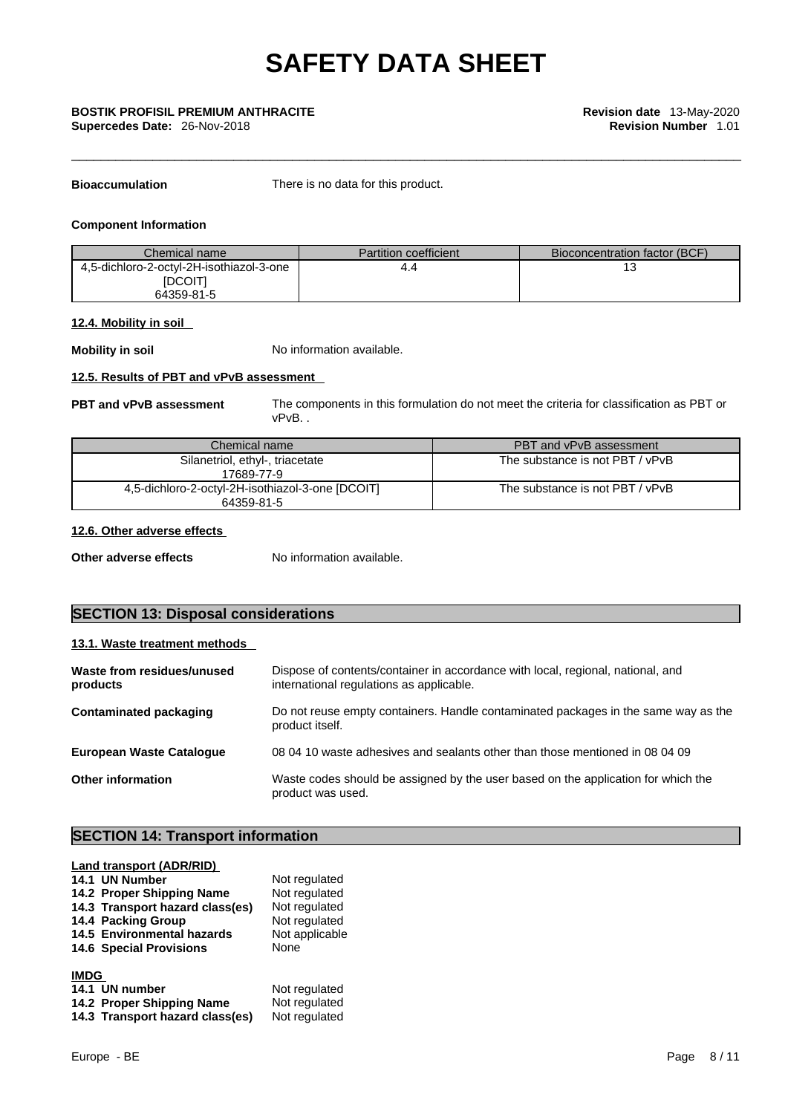**Supercedes Date:** 26-Nov-2018 **Revision Number** 1.01

**Bioaccumulation** There is no data for this product.

#### **Component Information**

| Chemical name                                              | <b>Partition coefficient</b> | <b>Bioconcentration factor (BCF)</b> |
|------------------------------------------------------------|------------------------------|--------------------------------------|
| 4,5-dichloro-2-octyl-2H-isothiazol-3-one<br><b>IDCOITI</b> | 4.4                          |                                      |
| 64359-81-5                                                 |                              |                                      |

#### **12.4. Mobility in soil**

**Mobility in soil** No information available.

#### **12.5. Results of PBT and vPvB assessment**

**PBT and vPvB assessment** The components in this formulation do not meet the criteria for classification as PBT or vPvB. .

| Chemical name                                                  | PBT and vPvB assessment         |
|----------------------------------------------------------------|---------------------------------|
| Silanetriol, ethyl-, triacetate<br>17689-77-9                  | The substance is not PBT / vPvB |
| 4,5-dichloro-2-octyl-2H-isothiazol-3-one [DCOIT]<br>64359-81-5 | The substance is not PBT / vPvB |

#### **12.6. Other adverse effects**

**Other adverse effects** No information available.

## **SECTION 13: Disposal considerations**

#### **13.1. Waste treatment methods**

| Waste from residues/unused<br>products | Dispose of contents/container in accordance with local, regional, national, and<br>international regulations as applicable. |
|----------------------------------------|-----------------------------------------------------------------------------------------------------------------------------|
| Contaminated packaging                 | Do not reuse empty containers. Handle contaminated packages in the same way as the<br>product itself.                       |
| <b>European Waste Catalogue</b>        | 08 04 10 waste adhesives and sealants other than those mentioned in 08 04 09                                                |
| Other information                      | Waste codes should be assigned by the user based on the application for which the<br>product was used.                      |

## **SECTION 14: Transport information**

| Land transport (ADR/RID)        |                |
|---------------------------------|----------------|
| 14.1 UN Number                  | Not regulated  |
| 14.2 Proper Shipping Name       | Not regulated  |
| 14.3 Transport hazard class(es) | Not regulated  |
| 14.4 Packing Group              | Not regulated  |
| 14.5 Environmental hazards      | Not applicable |
| <b>14.6 Special Provisions</b>  | None           |
| <b>IMDG</b>                     |                |
| 14.1 UN number                  | Not regulated  |
| 14.2 Proper Shipping Name       | Not regulated  |
| 14.3 Transport hazard class(es) | Not regulated  |
|                                 |                |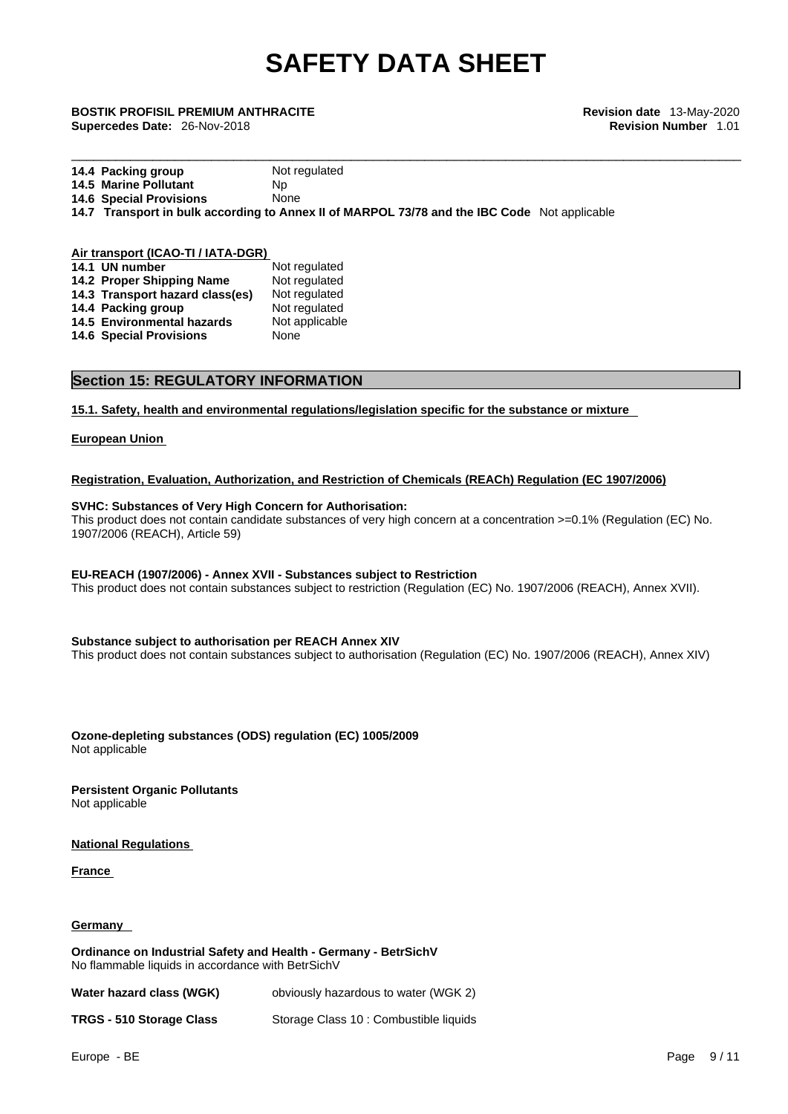## \_\_\_\_\_\_\_\_\_\_\_\_\_\_\_\_\_\_\_\_\_\_\_\_\_\_\_\_\_\_\_\_\_\_\_\_\_\_\_\_\_\_\_\_\_\_\_\_\_\_\_\_\_\_\_\_\_\_\_\_\_\_\_\_\_\_\_\_\_\_\_\_\_\_\_\_\_\_\_\_\_\_\_\_\_\_\_\_\_\_\_ **BOSTIK PROFISIL PREMIUM ANTHRACITE Revision date** 13-May-2020 **Supercedes Date:** 26-Nov-2018 **Revision Number** 1.01

| 14.4 Packing group             | Not regulated                                                                                |  |
|--------------------------------|----------------------------------------------------------------------------------------------|--|
| <b>14.5 Marine Pollutant</b>   | Np.                                                                                          |  |
| <b>14.6 Special Provisions</b> | None                                                                                         |  |
|                                | 14.7 Transport in bulk according to Annex II of MARPOL 73/78 and the IBC Code Not applicable |  |
|                                |                                                                                              |  |

| Air transport (ICAO-TI / IATA-DGR) |                |  |  |
|------------------------------------|----------------|--|--|
| 14.1 UN number                     | Not regulated  |  |  |
| 14.2 Proper Shipping Name          | Not regulated  |  |  |
| 14.3 Transport hazard class(es)    | Not regulated  |  |  |
| 14.4 Packing group                 | Not regulated  |  |  |
| 14.5 Environmental hazards         | Not applicable |  |  |
| <b>14.6 Special Provisions</b>     | None           |  |  |
|                                    |                |  |  |

#### **Section 15: REGULATORY INFORMATION**

**15.1. Safety, health and environmental regulations/legislation specific for the substance or mixture**

#### **European Union**

#### **Registration, Evaluation, Authorization, and Restriction of Chemicals (REACh) Regulation (EC 1907/2006)**

#### **SVHC: Substances of Very High Concern for Authorisation:**

This product does not contain candidate substances of very high concern at a concentration >=0.1% (Regulation (EC) No. 1907/2006 (REACH), Article 59)

#### **EU-REACH (1907/2006) - Annex XVII - Substances subject to Restriction**

This product does not contain substances subject to restriction (Regulation (EC) No. 1907/2006 (REACH), Annex XVII).

#### **Substance subject to authorisation per REACH Annex XIV**

This product does not contain substances subject to authorisation (Regulation (EC) No. 1907/2006 (REACH), Annex XIV)

**Ozone-depleting substances (ODS) regulation (EC) 1005/2009** Not applicable

**Persistent Organic Pollutants** Not applicable

**National Regulations**

**France** 

#### **Germany**

**Ordinance on Industrial Safety and Health - Germany - BetrSichV** No flammable liquids in accordance with BetrSichV

| Water hazard class (WGK)        | obviously hazardous to water (WGK 2)   |
|---------------------------------|----------------------------------------|
| <b>TRGS - 510 Storage Class</b> | Storage Class 10 : Combustible liquids |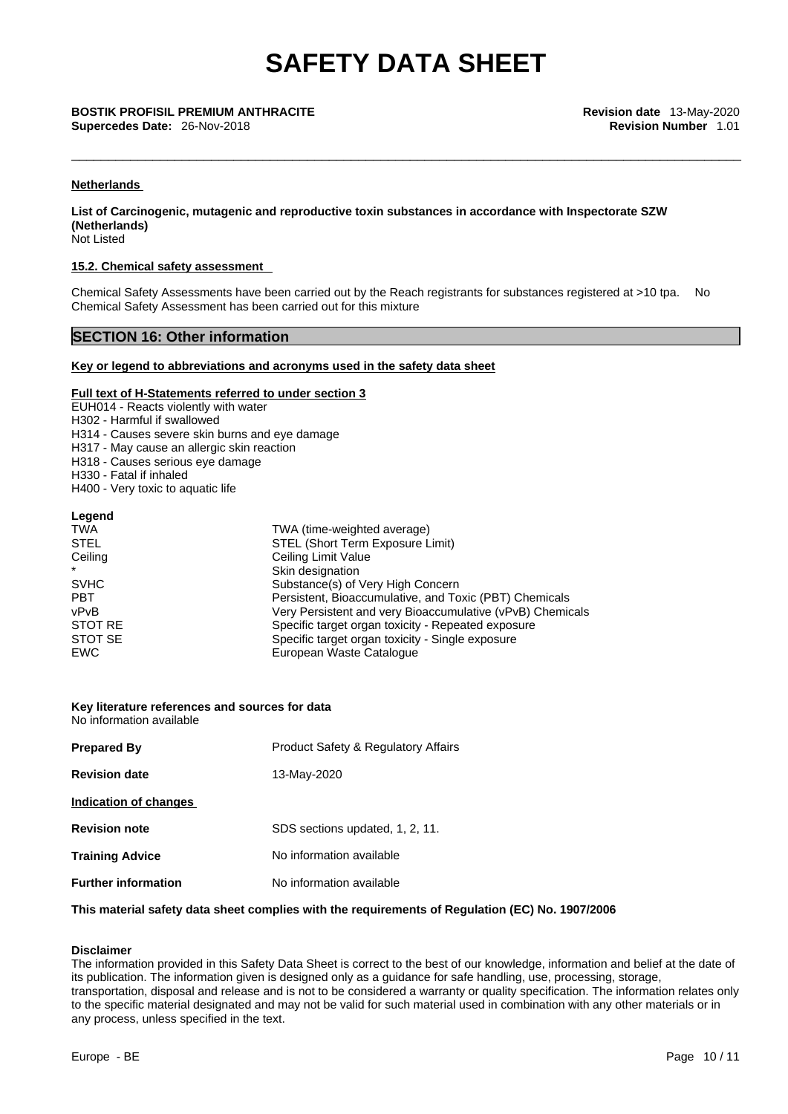\_\_\_\_\_\_\_\_\_\_\_\_\_\_\_\_\_\_\_\_\_\_\_\_\_\_\_\_\_\_\_\_\_\_\_\_\_\_\_\_\_\_\_\_\_\_\_\_\_\_\_\_\_\_\_\_\_\_\_\_\_\_\_\_\_\_\_\_\_\_\_\_\_\_\_\_\_\_\_\_\_\_\_\_\_\_\_\_\_\_\_ **BOSTIK PROFISIL PREMIUM ANTHRACITE Revision date** 13-May-2020 **Supercedes Date:** 26-Nov-2018 **Revision Number** 1.01

#### **Netherlands**

**List of Carcinogenic, mutagenic and reproductive toxin substances in accordance with Inspectorate SZW (Netherlands)**

Not Listed

#### **15.2. Chemical safety assessment**

Chemical Safety Assessments have been carried out by the Reach registrants for substances registered at >10 tpa. No Chemical Safety Assessment has been carried out for this mixture

#### **SECTION 16: Other information**

#### **Key or legend to abbreviations and acronyms used in the safety data sheet**

#### **Full text of H-Statements referred to under section 3**

EUH014 - Reacts violently with water

H302 - Harmful if swallowed

- H314 Causes severe skin burns and eye damage
- H317 May cause an allergic skin reaction
- H318 Causes serious eye damage
- H330 Fatal if inhaled

H400 - Very toxic to aquatic life

#### **Legend**

| <b>TWA</b>  | TWA (time-weighted average)                               |
|-------------|-----------------------------------------------------------|
| <b>STEL</b> | STEL (Short Term Exposure Limit)                          |
| Ceiling     | Ceiling Limit Value                                       |
| $\star$     | Skin designation                                          |
| <b>SVHC</b> | Substance(s) of Very High Concern                         |
| <b>PBT</b>  | Persistent, Bioaccumulative, and Toxic (PBT) Chemicals    |
| vPvB        | Very Persistent and very Bioaccumulative (vPvB) Chemicals |
| STOT RE     | Specific target organ toxicity - Repeated exposure        |
| STOT SE     | Specific target organ toxicity - Single exposure          |
| EWC         | European Waste Catalogue                                  |

#### **Key literature references and sources for data** No information available

| <b>Prepared By</b>         | <b>Product Safety &amp; Regulatory Affairs</b> |
|----------------------------|------------------------------------------------|
| <b>Revision date</b>       | 13-May-2020                                    |
| Indication of changes      |                                                |
| <b>Revision note</b>       | SDS sections updated, 1, 2, 11.                |
| <b>Training Advice</b>     | No information available                       |
| <b>Further information</b> | No information available                       |

#### **This material safety data sheet complies with the requirements of Regulation (EC) No. 1907/2006**

#### **Disclaimer**

The information provided in this Safety Data Sheet is correct to the best of our knowledge, information and belief at the date of its publication. The information given is designed only as a guidance for safe handling, use, processing, storage, transportation, disposal and release and is not to be considered a warranty or quality specification. The information relates only to the specific material designated and may not be valid for such material used in combination with any other materials or in any process, unless specified in the text.